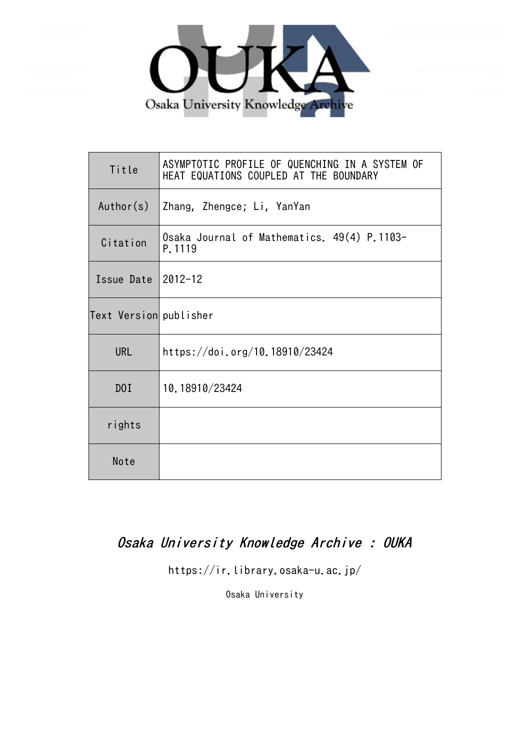

| Title                  | ASYMPTOTIC PROFILE OF QUENCHING IN A SYSTEM OF<br>HEAT EQUATIONS COUPLED AT THE BOUNDARY |
|------------------------|------------------------------------------------------------------------------------------|
| Author(s)              | Zhang, Zhengce; Li, YanYan                                                               |
| Citation               | Osaka Journal of Mathematics. 49(4) P.1103-<br>P.1119                                    |
| Issue Date             | $2012 - 12$                                                                              |
| Text Version publisher |                                                                                          |
| <b>URL</b>             | https://doi.org/10.18910/23424                                                           |
| DOI                    | 10.18910/23424                                                                           |
| rights                 |                                                                                          |
| Note                   |                                                                                          |

# Osaka University Knowledge Archive : OUKA

https://ir.library.osaka-u.ac.jp/

Osaka University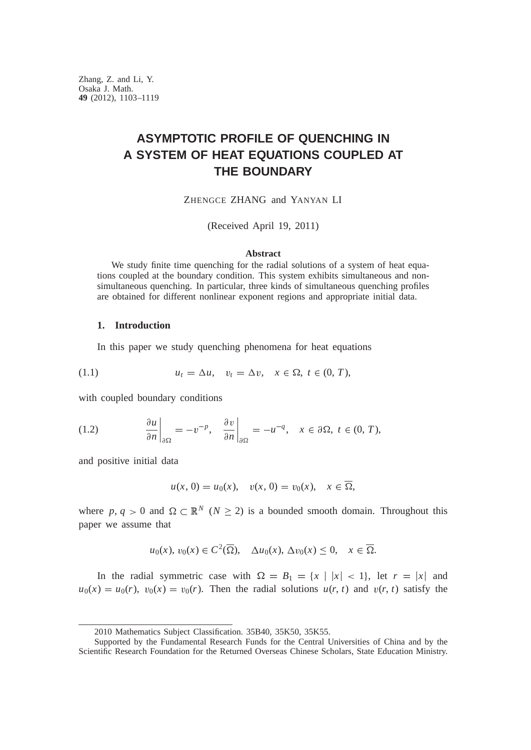# **ASYMPTOTIC PROFILE OF QUENCHING IN A SYSTEM OF HEAT EQUATIONS COUPLED AT THE BOUNDARY**

ZHENGCE ZHANG and YANYAN LI

(Received April 19, 2011)

#### **Abstract**

We study finite time quenching for the radial solutions of a system of heat equations coupled at the boundary condition. This system exhibits simultaneous and nonsimultaneous quenching. In particular, three kinds of simultaneous quenching profiles are obtained for different nonlinear exponent regions and appropriate initial data.

## **1. Introduction**

In this paper we study quenching phenomena for heat equations

$$
(1.1) \t\t u_t = \Delta u, \quad v_t = \Delta v, \quad x \in \Omega, \ t \in (0, T),
$$

with coupled boundary conditions

(1.2) 
$$
\left.\frac{\partial u}{\partial n}\right|_{\partial\Omega} = -v^{-p}, \quad \left.\frac{\partial v}{\partial n}\right|_{\partial\Omega} = -u^{-q}, \quad x \in \partial\Omega, \ t \in (0, T),
$$

and positive initial data

$$
u(x, 0) = u_0(x), v(x, 0) = v_0(x), x \in \overline{\Omega},
$$

where  $p, q > 0$  and  $\Omega \subset \mathbb{R}^N$  ( $N \ge 2$ ) is a bounded smooth domain. Throughout this paper we assume that

$$
u_0(x), v_0(x) \in C^2(\overline{\Omega}), \quad \Delta u_0(x), \Delta v_0(x) \leq 0, \quad x \in \overline{\Omega}.
$$

In the radial symmetric case with  $\Omega = B_1 = \{x \mid |x| < 1\}$ , let  $r = |x|$  and  $u_0(x) = u_0(r)$ ,  $v_0(x) = v_0(r)$ . Then the radial solutions  $u(r, t)$  and  $v(r, t)$  satisfy the

<sup>2010</sup> Mathematics Subject Classification. 35B40, 35K50, 35K55.

Supported by the Fundamental Research Funds for the Central Universities of China and by the Scientific Research Foundation for the Returned Overseas Chinese Scholars, State Education Ministry.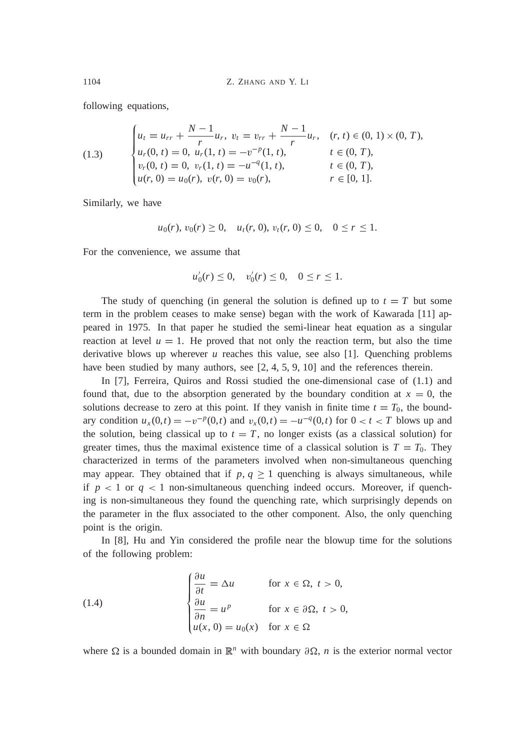following equations,

(1.3) 
$$
\begin{cases} u_t = u_{rr} + \frac{N-1}{r} u_r, \ v_t = v_{rr} + \frac{N-1}{r} u_r, & (r, t) \in (0, 1) \times (0, T), \\ u_r(0, t) = 0, u_r(1, t) = -v^{-p}(1, t), & t \in (0, T), \\ v_r(0, t) = 0, v_r(1, t) = -u^{-q}(1, t), & t \in (0, T), \\ u(r, 0) = u_0(r), v(r, 0) = v_0(r), & r \in [0, 1]. \end{cases}
$$

Similarly, we have

$$
u_0(r), v_0(r) \ge 0, u_t(r, 0), v_t(r, 0) \le 0, 0 \le r \le 1.
$$

For the convenience, we assume that

 $u'_0(r) \leq 0$ ,  $v'_0(r) \leq 0$ ,  $0 \leq r \leq 1$ .

The study of quenching (in general the solution is defined up to  $t = T$  but some term in the problem ceases to make sense) began with the work of Kawarada [11] appeared in 1975. In that paper he studied the semi-linear heat equation as a singular reaction at level  $u = 1$ . He proved that not only the reaction term, but also the time derivative blows up wherever *u* reaches this value, see also [1]. Quenching problems have been studied by many authors, see [2, 4, 5, 9, 10] and the references therein.

In [7], Ferreira, Quiros and Rossi studied the one-dimensional case of (1.1) and found that, due to the absorption generated by the boundary condition at  $x = 0$ , the solutions decrease to zero at this point. If they vanish in finite time  $t = T_0$ , the boundary condition  $u_x(0,t) = -v^{-p}(0,t)$  and  $v_x(0,t) = -u^{-q}(0,t)$  for  $0 < t < T$  blows up and the solution, being classical up to  $t = T$ , no longer exists (as a classical solution) for greater times, thus the maximal existence time of a classical solution is  $T = T_0$ . They characterized in terms of the parameters involved when non-simultaneous quenching may appear. They obtained that if  $p, q \ge 1$  quenching is always simultaneous, while if  $p < 1$  or  $q < 1$  non-simultaneous quenching indeed occurs. Moreover, if quenching is non-simultaneous they found the quenching rate, which surprisingly depends on the parameter in the flux associated to the other component. Also, the only quenching point is the origin.

In [8], Hu and Yin considered the profile near the blowup time for the solutions of the following problem:

(1.4) 
$$
\begin{cases} \frac{\partial u}{\partial t} = \Delta u & \text{for } x \in \Omega, \ t > 0, \\ \frac{\partial u}{\partial n} = u^p & \text{for } x \in \partial\Omega, \ t > 0, \\ u(x, 0) = u_0(x) & \text{for } x \in \Omega \end{cases}
$$

where  $\Omega$  is a bounded domain in  $\mathbb{R}^n$  with boundary  $\partial \Omega$ , *n* is the exterior normal vector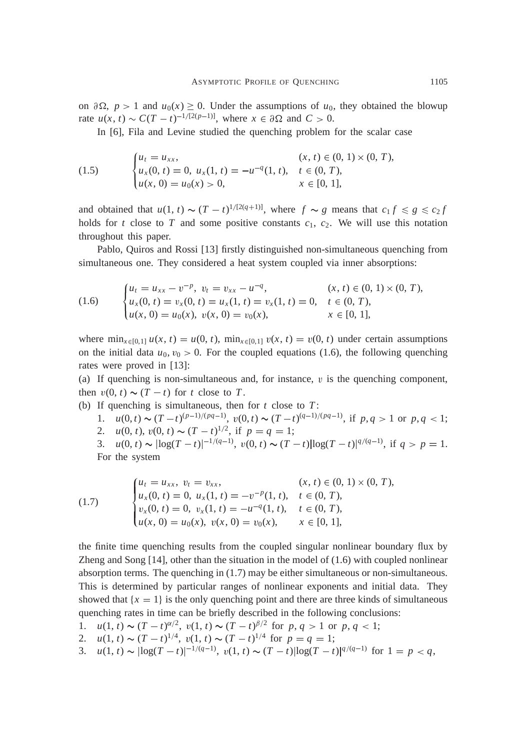on  $\partial \Omega$ ,  $p > 1$  and  $u_0(x) \ge 0$ . Under the assumptions of  $u_0$ , they obtained the blowup rate  $u(x, t) \sim C(T - t)^{-1/[2(p-1)]}$ , where  $x \in \partial \Omega$  and  $C > 0$ .

In [6], Fila and Levine studied the quenching problem for the scalar case

(1.5) 
$$
\begin{cases} u_t = u_{xx}, & (x, t) \in (0, 1) \times (0, T), \\ u_x(0, t) = 0, u_x(1, t) = -u^{-q}(1, t), & t \in (0, T), \\ u(x, 0) = u_0(x) > 0, & x \in [0, 1], \end{cases}
$$

and obtained that  $u(1, t) \sim (T - t)^{1/[2(q+1)]}$ , where  $f \sim g$  means that  $c_1 f \le g \le c_2 f$ holds for *t* close to *T* and some positive constants  $c_1$ ,  $c_2$ . We will use this notation throughout this paper.

Pablo, Quiros and Rossi [13] firstly distinguished non-simultaneous quenching from simultaneous one. They considered a heat system coupled via inner absorptions:

(1.6) 
$$
\begin{cases} u_t = u_{xx} - v^{-p}, \ v_t = v_{xx} - u^{-q}, & (x, t) \in (0, 1) \times (0, T), \\ u_x(0, t) = v_x(0, t) = u_x(1, t) = v_x(1, t) = 0, & t \in (0, T), \\ u(x, 0) = u_0(x), \ v(x, 0) = v_0(x), & x \in [0, 1], \end{cases}
$$

where  $\min_{x \in [0,1]} u(x, t) = u(0, t)$ ,  $\min_{x \in [0,1]} v(x, t) = v(0, t)$  under certain assumptions on the initial data  $u_0, v_0 > 0$ . For the coupled equations (1.6), the following quenching rates were proved in [13]:

(a) If quenching is non-simultaneous and, for instance,  $v$  is the quenching component, then  $v(0, t) \sim (T - t)$  for *t* close to *T*.

- (b) If quenching is simultaneous, then for *t* close to *T* :
	- 1.  $u(0, t) \sim (T t)^{(p-1)/(pq-1)}, v(0, t) \sim (T t)^{(q-1)/(pq-1)},$  if  $p, q > 1$  or  $p, q < 1$ ; 2.  $u(0, t), v(0, t) \sim (T - t)^{1/2}$ , if  $p = q = 1$ ; 3.  $u(0, t) \sim |\log(T - t)|^{-1/(q-1)}, v(0, t) \sim (T - t)|\log(T - t)|^{q/(q-1)}, \text{ if } q > p = 1.$

For the system

(1.7) 
$$
\begin{cases} u_t = u_{xx}, \ v_t = v_{xx}, & (x, t) \in (0, 1) \times (0, T), \\ u_x(0, t) = 0, \ u_x(1, t) = -v^{-p}(1, t), \quad t \in (0, T), \\ v_x(0, t) = 0, \ v_x(1, t) = -u^{-q}(1, t), \quad t \in (0, T), \\ u(x, 0) = u_0(x), \ v(x, 0) = v_0(x), \qquad x \in [0, 1], \end{cases}
$$

the finite time quenching results from the coupled singular nonlinear boundary flux by Zheng and Song  $[14]$ , other than the situation in the model of  $(1.6)$  with coupled nonlinear absorption terms. The quenching in  $(1.7)$  may be either simultaneous or non-simultaneous. This is determined by particular ranges of nonlinear exponents and initial data. They showed that  $\{x = 1\}$  is the only quenching point and there are three kinds of simultaneous quenching rates in time can be briefly described in the following conclusions:

- 1.  $u(1, t) \sim (T t)^{\alpha/2}, v(1, t) \sim (T t)^{\beta/2}$  for  $p, q > 1$  or  $p, q < 1$ ;
- 2.  $u(1, t) \sim (T t)^{1/4}, v(1, t) \sim (T t)^{1/4}$  for  $p = q = 1$ ;
- 3.  $u(1, t) \sim |\log(T t)|^{-1/(q-1)}, v(1, t) \sim (T t)|\log(T t)|^{q/(q-1)}$  for  $1 = p < q$ ,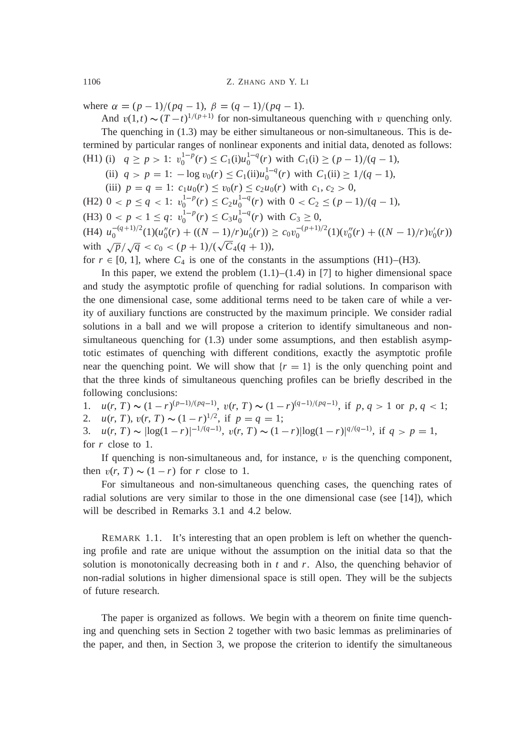where  $\alpha = (p-1)/(pq-1), \beta = (q-1)/(pq-1).$ 

And  $v(1,t) \sim (T-t)^{1/(p+1)}$  for non-simultaneous quenching with v quenching only. The quenching in (1.3) may be either simultaneous or non-simultaneous. This is determined by particular ranges of nonlinear exponents and initial data, denoted as follows: (H1) (i)  $q \ge p > 1$ :  $v_0^{1-p}(r) \le C_1(i)u_0^{1-q}(r)$  with  $C_1(i) \ge (p-1)/(q-1)$ ,

(ii)  $q > p = 1$ :  $-\log v_0(r) \le C_1(i)u_0^{1-q}(r)$  with  $C_1(ii) \ge 1/(q-1)$ ,

(iii)  $p = q = 1$ :  $c_1u_0(r) \le v_0(r) \le c_2u_0(r)$  with  $c_1, c_2 > 0$ ,

(H2) 
$$
0 < p \le q < 1
$$
:  $v_0^{1-p}(r) \le C_2 u_0^{1-q}(r)$  with  $0 < C_2 \le (p-1)/(q-1)$ ,

(H3)  $0 < p < 1 \le q$ :  $v_0^{1-p}(r) \le C_3 u_0^{1-q}(r)$  with  $C_3 \ge 0$ ,

 $\mu_0^{-(q+1)/2}(1)(u''_0(r) + ((N-1)/r)u'_0(r)) \ge c_0v_0^{-(p+1)/2}(1)(v''_0(r) + ((N-1)/r)v'_0(r))$ with  $\sqrt{p}/\sqrt{q} < c_0 < (p+1)/(\sqrt{C_4(q+1)})$ ,

for  $r \in [0, 1]$ , where  $C_4$  is one of the constants in the assumptions (H1)–(H3).

In this paper, we extend the problem  $(1.1)$ – $(1.4)$  in [7] to higher dimensional space and study the asymptotic profile of quenching for radial solutions. In comparison with the one dimensional case, some additional terms need to be taken care of while a verity of auxiliary functions are constructed by the maximum principle. We consider radial solutions in a ball and we will propose a criterion to identify simultaneous and nonsimultaneous quenching for (1.3) under some assumptions, and then establish asymptotic estimates of quenching with different conditions, exactly the asymptotic profile near the quenching point. We will show that  $\{r = 1\}$  is the only quenching point and that the three kinds of simultaneous quenching profiles can be briefly described in the following conclusions:

1.  $u(r, T) \sim (1 - r)^{(p-1)/(pq-1)}, v(r, T) \sim (1 - r)^{(q-1)/(pq-1)},$  if  $p, q > 1$  or  $p, q < 1$ ;

2.  $u(r, T), v(r, T) \sim (1 - r)^{1/2}$ , if  $p = q = 1$ ;

3.  $u(r, T) \sim |\log(1 - r)|^{-1/(q-1)}, v(r, T) \sim (1 - r)|\log(1 - r)|^{q/(q-1)}, \text{ if } q > p = 1,$ for *r* close to 1.

If quenching is non-simultaneous and, for instance,  $v$  is the quenching component, then  $v(r, T) \sim (1 - r)$  for *r* close to 1.

For simultaneous and non-simultaneous quenching cases, the quenching rates of radial solutions are very similar to those in the one dimensional case (see [14]), which will be described in Remarks 3.1 and 4.2 below.

REMARK 1.1. It's interesting that an open problem is left on whether the quenching profile and rate are unique without the assumption on the initial data so that the solution is monotonically decreasing both in  $t$  and  $r$ . Also, the quenching behavior of non-radial solutions in higher dimensional space is still open. They will be the subjects of future research.

The paper is organized as follows. We begin with a theorem on finite time quenching and quenching sets in Section 2 together with two basic lemmas as preliminaries of the paper, and then, in Section 3, we propose the criterion to identify the simultaneous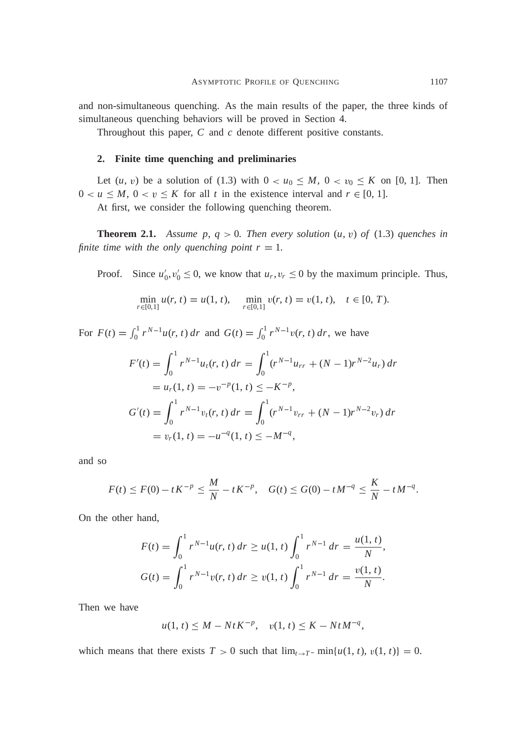and non-simultaneous quenching. As the main results of the paper, the three kinds of simultaneous quenching behaviors will be proved in Section 4.

Throughout this paper, *C* and *c* denote different positive constants.

#### **2. Finite time quenching and preliminaries**

Let  $(u, v)$  be a solution of (1.3) with  $0 < u_0 \leq M$ ,  $0 < v_0 \leq K$  on [0, 1]. Then  $0 < u \leq M$ ,  $0 < v \leq K$  for all *t* in the existence interval and  $r \in [0, 1]$ .

At first, we consider the following quenching theorem.

**Theorem 2.1.** *Assume p,*  $q > 0$ *. Then every solution*  $(u, v)$  *of* (1.3) *quenches in finite time with the only quenching point*  $r = 1$ *.* 

Proof. Since  $u'_0, v'_0 \le 0$ , we know that  $u_r, v_r \le 0$  by the maximum principle. Thus,

$$
\min_{r \in [0,1]} u(r, t) = u(1, t), \quad \min_{r \in [0,1]} v(r, t) = v(1, t), \quad t \in [0, T).
$$

For  $F(t) = \int_0^1$  $\int_0^1 r^{N-1} u(r, t) dr$  and  $G(t) = \int_0^1$  $\int_{0}^{1} r^{N-1}v(r, t) dr$ , we have  $F'(t) = \int_0^1$ 0  $r^{N-1}u_t(r, t) dr = \int_0^1$ 0  $(r^{N-1}u_{rr} + (N-1)r^{N-2}u_r) dr$  $= u_r(1, t) = -v^{-p}(1, t) \leq -K^{-p},$  $G'(t) = \int_0^1$ 0  $r^{N-1}v_t(r, t) dr = \int_0^1$ 0  $(r^{N-1}v_{rr} + (N-1)r^{N-2}v_r) dr$  $= v_r(1, t) = -u^{-q}(1, t) \le -M^{-q},$ 

and so

$$
F(t) \le F(0) - tK^{-p} \le \frac{M}{N} - tK^{-p}, \quad G(t) \le G(0) - tM^{-q} \le \frac{K}{N} - tM^{-q}.
$$

On the other hand,

$$
F(t) = \int_0^1 r^{N-1} u(r, t) dr \ge u(1, t) \int_0^1 r^{N-1} dr = \frac{u(1, t)}{N},
$$
  

$$
G(t) = \int_0^1 r^{N-1} v(r, t) dr \ge v(1, t) \int_0^1 r^{N-1} dr = \frac{v(1, t)}{N}.
$$

Then we have

$$
u(1, t) \le M - NtK^{-p}
$$
,  $v(1, t) \le K - NtM^{-q}$ ,

which means that there exists  $T > 0$  such that  $\lim_{t \to T^-} \min\{u(1, t), v(1, t)\} = 0$ .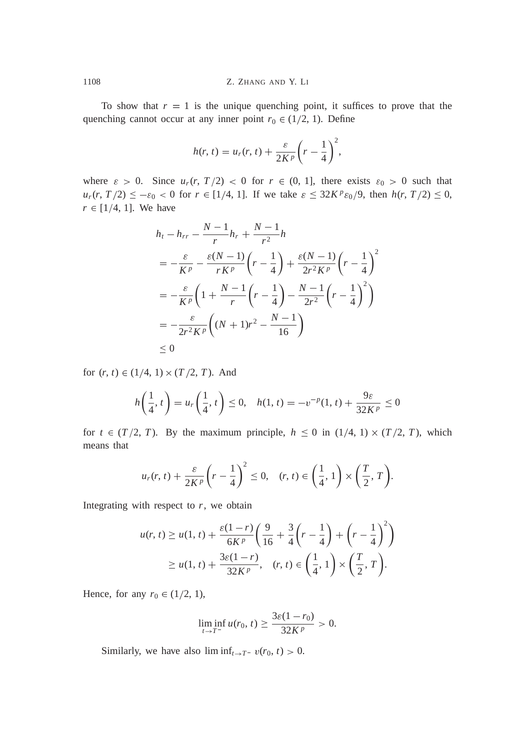To show that  $r = 1$  is the unique quenching point, it suffices to prove that the quenching cannot occur at any inner point  $r_0 \in (1/2, 1)$ . Define

$$
h(r, t) = u_r(r, t) + \frac{\varepsilon}{2K^p} \left(r - \frac{1}{4}\right)^2,
$$

where  $\varepsilon > 0$ . Since  $u_r(r, T/2) < 0$  for  $r \in (0, 1]$ , there exists  $\varepsilon_0 > 0$  such that  $u_r(r, T/2) \le -\varepsilon_0 < 0$  for  $r \in [1/4, 1]$ . If we take  $\varepsilon \le 32K^p \varepsilon_0/9$ , then  $h(r, T/2) \le 0$ ,  $r \in [1/4, 1]$ . We have

$$
h_t - h_{rr} - \frac{N-1}{r}h_r + \frac{N-1}{r^2}h
$$
  
=  $-\frac{\varepsilon}{K^p} - \frac{\varepsilon(N-1)}{rK^p} \left(r - \frac{1}{4}\right) + \frac{\varepsilon(N-1)}{2r^2K^p} \left(r - \frac{1}{4}\right)^2$   
=  $-\frac{\varepsilon}{K^p} \left(1 + \frac{N-1}{r} \left(r - \frac{1}{4}\right) - \frac{N-1}{2r^2} \left(r - \frac{1}{4}\right)^2\right)$   
=  $-\frac{\varepsilon}{2r^2K^p} \left((N+1)r^2 - \frac{N-1}{16}\right)$   
 $\leq 0$ 

for  $(r, t) \in (1/4, 1) \times (T/2, T)$ . And

$$
h\left(\frac{1}{4}, t\right) = u_r\left(\frac{1}{4}, t\right) \le 0, \quad h(1, t) = -v^{-p}(1, t) + \frac{9\varepsilon}{32K^p} \le 0
$$

for  $t \in (T/2, T)$ . By the maximum principle,  $h \le 0$  in  $(1/4, 1) \times (T/2, T)$ , which means that

$$
u_r(r, t) + \frac{\varepsilon}{2K^p} \left(r - \frac{1}{4}\right)^2 \leq 0, \quad (r, t) \in \left(\frac{1}{4}, 1\right) \times \left(\frac{T}{2}, T\right).
$$

Integrating with respect to  $r$ , we obtain

$$
u(r, t) \ge u(1, t) + \frac{\varepsilon(1-r)}{6K^p} \left( \frac{9}{16} + \frac{3}{4} \left( r - \frac{1}{4} \right) + \left( r - \frac{1}{4} \right)^2 \right)
$$
  
 
$$
\ge u(1, t) + \frac{3\varepsilon(1-r)}{32K^p}, \quad (r, t) \in \left( \frac{1}{4}, 1 \right) \times \left( \frac{T}{2}, T \right).
$$

Hence, for any  $r_0 \in (1/2, 1)$ ,

$$
\liminf_{t \to T^-} u(r_0, t) \ge \frac{3\varepsilon (1 - r_0)}{32K^p} > 0.
$$

Similarly, we have also  $\liminf_{t\to T^-} v(r_0, t) > 0$ .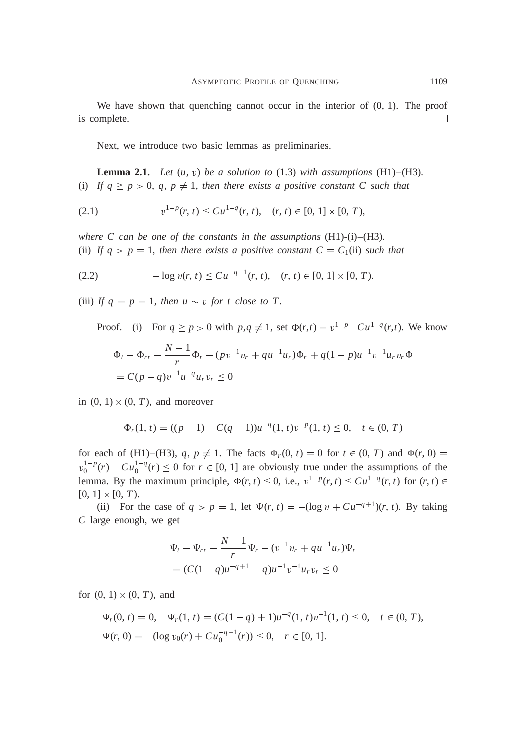We have shown that quenching cannot occur in the interior of  $(0, 1)$ . The proof is complete.  $\Box$ 

Next, we introduce two basic lemmas as preliminaries.

**Lemma 2.1.** *Let*  $(u, v)$  *be a solution to*  $(1.3)$  *with assumptions*  $(H1) - (H3)$ *.* (i) If  $q \ge p > 0$ ,  $q, p \ne 1$ , then there exists a positive constant C such that

$$
(2.1) \t\t v1-p(r, t) \leq Cu1-q(r, t), \quad (r, t) \in [0, 1] \times [0, T),
$$

*where C can be one of the constants in the assumptions* (H1)-(i)–(H3)*.* (ii) If  $q > p = 1$ , then there exists a positive constant  $C = C_1(i)$  such that

$$
(2.2) \t -log v(r, t) \leq Cu^{-q+1}(r, t), \quad (r, t) \in [0, 1] \times [0, T).
$$

(iii) If  $q = p = 1$ , then  $u \sim v$  for t close to T.

Proof. (i) For  $q \ge p > 0$  with  $p, q \ne 1$ , set  $\Phi(r,t) = v^{1-p} - Cu^{1-q}(r,t)$ . We know

$$
\Phi_t - \Phi_{rr} - \frac{N-1}{r} \Phi_r - (pv^{-1}v_r + qu^{-1}u_r)\Phi_r + q(1-p)u^{-1}v^{-1}u_r v_r \Phi
$$
  
=  $C(p-q)v^{-1}u^{-q}u_r v_r \le 0$ 

in  $(0, 1) \times (0, T)$ , and moreover

$$
\Phi_r(1, t) = ((p - 1) - C(q - 1))u^{-q}(1, t)v^{-p}(1, t) \le 0, \quad t \in (0, T)
$$

for each of (H1)–(H3),  $q, p \neq 1$ . The facts  $\Phi_r(0, t) = 0$  for  $t \in (0, T)$  and  $\Phi(r, 0) = 0$  $v_0^{1-p}(r) - Cu_0^{1-q}(r) \le 0$  for  $r \in [0, 1]$  are obviously true under the assumptions of the lemma. By the maximum principle,  $\Phi(r, t) \leq 0$ , i.e.,  $v^{1-p}(r, t) \leq Cu^{1-q}(r, t)$  for  $(r, t) \in$  $[0, 1] \times [0, T)$ .

(ii) For the case of  $q > p = 1$ , let  $\Psi(r, t) = -(\log v + Cu^{-q+1})(r, t)$ . By taking *C* large enough, we get

$$
\Psi_t - \Psi_{rr} - \frac{N-1}{r} \Psi_r - (v^{-1}v_r + qu^{-1}u_r)\Psi_r
$$
  
=  $(C(1-q)u^{-q+1} + q)u^{-1}v^{-1}u_r v_r \le 0$ 

for  $(0, 1) \times (0, T)$ , and

$$
\Psi_r(0, t) = 0, \quad \Psi_r(1, t) = (C(1 - q) + 1)u^{-q}(1, t)v^{-1}(1, t) \le 0, \quad t \in (0, T),
$$
  

$$
\Psi(r, 0) = -(\log v_0(r) + C u_0^{-q+1}(r)) \le 0, \quad r \in [0, 1].
$$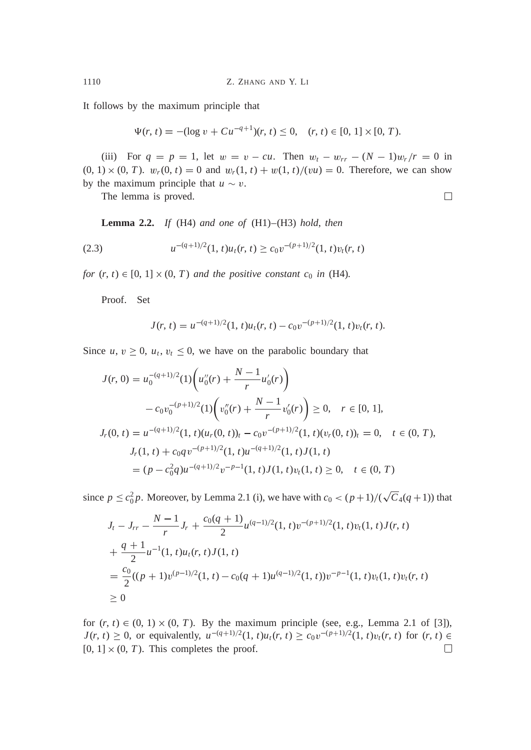It follows by the maximum principle that

$$
\Psi(r, t) = -(\log v + Cu^{-q+1})(r, t) \le 0, \quad (r, t) \in [0, 1] \times [0, T).
$$

(iii) For  $q = p = 1$ , let  $w = v - cu$ . Then  $w_t - w_{rr} - (N - 1)w_r/r = 0$  in  $(0, 1) \times (0, T)$ .  $w_r(0, t) = 0$  and  $w_r(1, t) + w(1, t)/(vu) = 0$ . Therefore, we can show by the maximum principle that  $u \sim v$ .

The lemma is proved.

**Lemma 2.2.** *If* (H4) *and one of* (H1)–(H3) *hold*, *then*

(2.3) 
$$
u^{-(q+1)/2}(1, t)u_t(r, t) \geq c_0 v^{-(p+1)/2}(1, t)v_t(r, t)
$$

*for*  $(r, t) \in [0, 1] \times (0, T)$  *and the positive constant*  $c_0$  *in* (H4)*.* 

Proof. Set

$$
J(r, t) = u^{-(q+1)/2}(1, t)u_t(r, t) - c_0v^{-(p+1)/2}(1, t)v_t(r, t).
$$

Since  $u, v \geq 0$ ,  $u_t, v_t \leq 0$ , we have on the parabolic boundary that

$$
J(r, 0) = u_0^{-(q+1)/2} (1) \left( u_0''(r) + \frac{N-1}{r} u_0'(r) \right)
$$
  

$$
- c_0 v_0^{-(p+1)/2} (1) \left( v_0''(r) + \frac{N-1}{r} v_0'(r) \right) \ge 0, \quad r \in [0, 1],
$$
  

$$
J_r(0, t) = u^{-(q+1)/2} (1, t) (u_r(0, t))_t - c_0 v^{-(p+1)/2} (1, t) (v_r(0, t))_t = 0, \quad t \in (0, T),
$$
  

$$
J_r(1, t) + c_0 q v^{-(p+1)/2} (1, t) u^{-(q+1)/2} (1, t) J(1, t)
$$
  

$$
= (p - c_0^2 q) u^{-(q+1)/2} v^{-p-1} (1, t) J(1, t) v_t(1, t) \ge 0, \quad t \in (0, T)
$$

since  $p \le c_0^2 p$ . Moreover, by Lemma 2.1 (i), we have with  $c_0 < (p+1)/(\sqrt{C_4(q+1)})$  that

$$
J_t - J_{rr} - \frac{N-1}{r} J_r + \frac{c_0(q+1)}{2} u^{(q-1)/2} (1, t) v^{-(p+1)/2} (1, t) v_t (1, t) J(r, t)
$$
  
+ 
$$
\frac{q+1}{2} u^{-1} (1, t) u_t(r, t) J(1, t)
$$
  
= 
$$
\frac{c_0}{2} ((p+1) v^{(p-1)/2} (1, t) - c_0 (q+1) u^{(q-1)/2} (1, t) ) v^{-p-1} (1, t) v_t (1, t) v_t(r, t)
$$
  

$$
\geq 0
$$

for  $(r, t) \in (0, 1) \times (0, T)$ . By the maximum principle (see, e.g., Lemma 2.1 of [3]),  $J(r, t) \ge 0$ , or equivalently,  $u^{-(q+1)/2}(1, t)u_t(r, t) \ge c_0v^{-(p+1)/2}(1, t)v_t(r, t)$  for  $(r, t) \in$  $\Box$  $[0, 1] \times (0, T)$ . This completes the proof.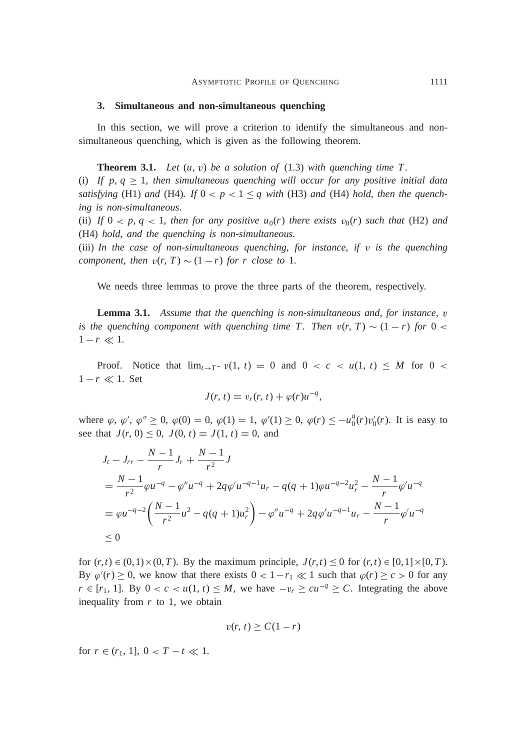#### **3. Simultaneous and non-simultaneous quenching**

In this section, we will prove a criterion to identify the simultaneous and nonsimultaneous quenching, which is given as the following theorem.

**Theorem 3.1.** Let  $(u, v)$  be a solution of  $(1.3)$  with quenching time T.

(i) If p,  $q \geq 1$ , then simultaneous quenching will occur for any positive initial data *satisfying* (H1) *and* (H4)*.* If  $0 < p < 1 \leq q$  with (H3) *and* (H4) *hold*, *then the quenching is non-simultaneous.*

(ii) If  $0 < p, q < 1$ , then for any positive  $u_0(r)$  there exists  $v_0(r)$  such that (H2) and (H4) *hold*, *and the quenching is non-simultaneous.*

(iii) *In the case of non-simultaneous quenching*, *for instance*, *if* <sup>v</sup> *is the quenching component, then*  $v(r, T) \sim (1 - r)$  *for r close to* 1*.* 

We needs three lemmas to prove the three parts of the theorem, respectively.

**Lemma 3.1.** *Assume that the quenching is non-simultaneous and*, *for instance*, <sup>v</sup> *is the quenching component with quenching time T. Then*  $v(r, T) \sim (1 - r)$  for 0 <  $1 - r \ll 1$ .

Proof. Notice that  $\lim_{t\to T^-} v(1, t) = 0$  and  $0 < c < u(1, t) \le M$  for  $0 <$  $1 - r \ll 1$ . Set

$$
J(r, t) = v_r(r, t) + \varphi(r)u^{-q},
$$

where  $\varphi$ ,  $\varphi'$ ,  $\varphi'' \ge 0$ ,  $\varphi(0) = 0$ ,  $\varphi(1) = 1$ ,  $\varphi'(1) \ge 0$ ,  $\varphi(r) \le -u_0^q(r)v_0'(r)$ . It is easy to see that  $J(r, 0) \leq 0$ ,  $J(0, t) = J(1, t) = 0$ , and

$$
J_t - J_{rr} - \frac{N-1}{r} J_r + \frac{N-1}{r^2} J
$$
  
=  $\frac{N-1}{r^2} \varphi u^{-q} - \varphi'' u^{-q} + 2q \varphi' u^{-q-1} u_r - q(q+1) \varphi u^{-q-2} u_r^2 - \frac{N-1}{r} \varphi' u^{-q}$   
=  $\varphi u^{-q-2} \left( \frac{N-1}{r^2} u^2 - q(q+1) u_r^2 \right) - \varphi'' u^{-q} + 2q \varphi' u^{-q-1} u_r - \frac{N-1}{r} \varphi' u^{-q}$   
\le 0

for  $(r, t) \in (0, 1) \times (0, T)$ . By the maximum principle,  $J(r, t) \le 0$  for  $(r, t) \in [0, 1] \times [0, T)$ . By  $\varphi'(r) \ge 0$ , we know that there exists  $0 < 1 - r_1 \ll 1$  such that  $\varphi(r) \ge c > 0$  for any  $r \in [r_1, 1]$ . By  $0 < c < u(1, t) \leq M$ , we have  $-v_r \geq cu^{-q} \geq C$ . Integrating the above inequality from *r* to 1, we obtain

$$
v(r, t) \ge C(1 - r)
$$

for  $r \in (r_1, 1], 0 < T - t \ll 1.$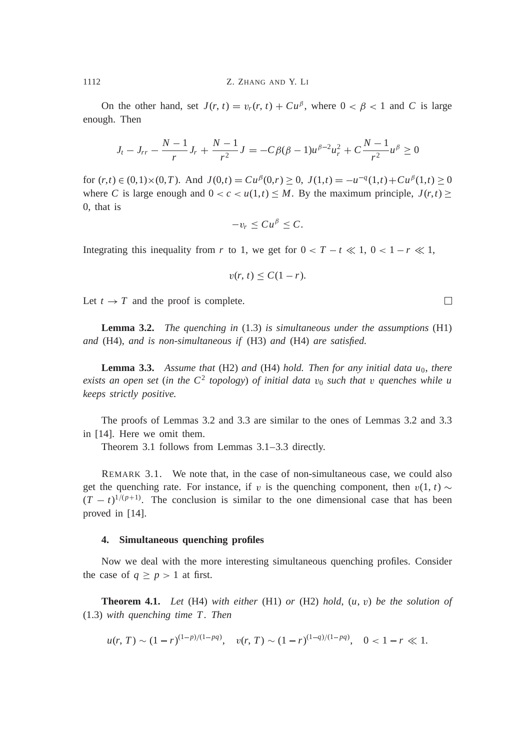On the other hand, set  $J(r, t) = v_r(r, t) + Cu^{\beta}$ , where  $0 < \beta < 1$  and *C* is large enough. Then

$$
J_t - J_{rr} - \frac{N-1}{r}J_r + \frac{N-1}{r^2}J = -C\beta(\beta - 1)u^{\beta - 2}u_r^2 + C\frac{N-1}{r^2}u^{\beta} \ge 0
$$

for  $(r, t) \in (0, 1) \times (0, T)$ . And  $J(0,t) = Cu^{\beta}(0,r) \ge 0$ ,  $J(1,t) = -u^{-q}(1,t) + Cu^{\beta}(1,t) \ge 0$ where *C* is large enough and  $0 < c < u(1,t) \le M$ . By the maximum principle,  $J(r,t) \ge$ 0, that is

$$
-v_r\leq Cu^{\beta}\leq C.
$$

Integrating this inequality from *r* to 1, we get for  $0 < T - t \ll 1$ ,  $0 < 1 - r \ll 1$ ,

$$
v(r, t) \leq C(1 - r).
$$

Let  $t \to T$  and the proof is complete.

**Lemma 3.2.** *The quenching in* (1.3) *is simultaneous under the assumptions* (H1) *and* (H4), *and is non-simultaneous if* (H3) *and* (H4) *are satisfied.*

**Lemma 3.3.** *Assume that* (H2) *and* (H4) *hold. Then for any initial data*  $u_0$ *, there exists an open set* (*in the C*<sup>2</sup> *topology*) *of initial data* <sup>v</sup><sup>0</sup> *such that* <sup>v</sup> *quenches while u keeps strictly positive.*

The proofs of Lemmas 3.2 and 3.3 are similar to the ones of Lemmas 3.2 and 3.3 in [14]. Here we omit them.

Theorem 3.1 follows from Lemmas 3.1–3.3 directly.

REMARK 3.1. We note that, in the case of non-simultaneous case, we could also get the quenching rate. For instance, if v is the quenching component, then  $v(1, t) \sim$  $(T - t)^{1/(p+1)}$ . The conclusion is similar to the one dimensional case that has been proved in [14].

### **4. Simultaneous quenching profiles**

Now we deal with the more interesting simultaneous quenching profiles. Consider the case of  $q \geq p > 1$  at first.

**Theorem 4.1.** *Let* (H4) *with either* (H1) *or* (H2) *hold*, (*u*, <sup>v</sup>) *be the solution of* (1.3) *with quenching time T . Then*

$$
u(r, T) \sim (1 - r)^{(1 - p)/(1 - pq)}, \quad v(r, T) \sim (1 - r)^{(1 - q)/(1 - pq)}, \quad 0 < 1 - r \ll 1.
$$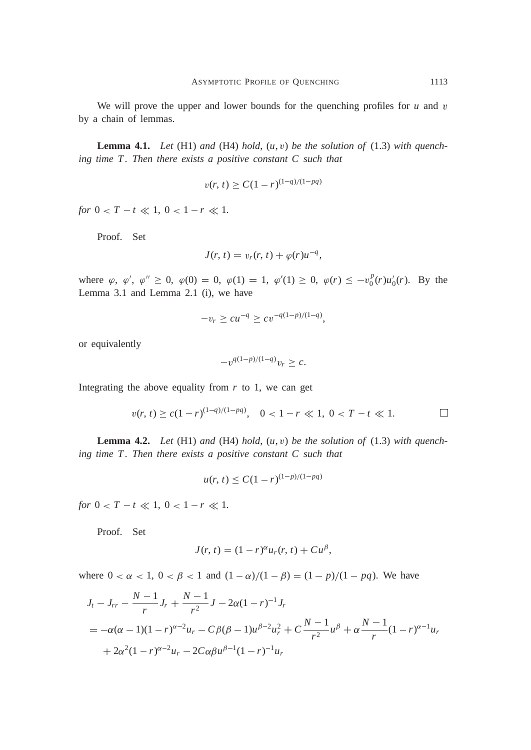We will prove the upper and lower bounds for the quenching profiles for *u* and *v* by a chain of lemmas.

**Lemma 4.1.** *Let* (H1) *and* (H4) *hold*, (*u*, <sup>v</sup>) *be the solution of* (1.3) *with quench*ing time T. Then there exists a positive constant C such that

$$
v(r, t) \ge C(1 - r)^{(1 - q)/(1 - pq)}
$$

*for*  $0 < T - t \ll 1$ ,  $0 < 1 - r \ll 1$ .

Proof. Set

$$
J(r, t) = v_r(r, t) + \varphi(r)u^{-q},
$$

where  $\varphi$ ,  $\varphi'$ ,  $\varphi'' \ge 0$ ,  $\varphi(0) = 0$ ,  $\varphi(1) = 1$ ,  $\varphi'(1) \ge 0$ ,  $\varphi(r) \le -v_0^p(r)u_0'(r)$ . By the Lemma 3.1 and Lemma 2.1 (i), we have

$$
-v_r \ge cu^{-q} \ge cv^{-q(1-p)/(1-q)},
$$

or equivalently

$$
-v^{q(1-p)/(1-q)}v_r \geq c.
$$

Integrating the above equality from  $r$  to 1, we can get

$$
v(r, t) \ge c(1 - r)^{(1 - q)/(1 - pq)}, \quad 0 < 1 - r \ll 1, \ 0 < T - t \ll 1.
$$

**Lemma 4.2.** *Let* (H1) *and* (H4) *hold*, (*u*, <sup>v</sup>) *be the solution of* (1.3) *with quench*ing time T. Then there exists a positive constant C such that

$$
u(r, t) \le C(1 - r)^{(1 - p)/(1 - pq)}
$$

*for*  $0 < T - t \ll 1$ ,  $0 < 1 - r \ll 1$ .

Proof. Set

$$
J(r, t) = (1 - r)^{\alpha} u_r(r, t) + C u^{\beta},
$$

where  $0 < \alpha < 1$ ,  $0 < \beta < 1$  and  $(1 - \alpha)/(1 - \beta) = (1 - p)/(1 - pq)$ . We have

$$
J_t - J_{rr} - \frac{N-1}{r} J_r + \frac{N-1}{r^2} J - 2\alpha (1-r)^{-1} J_r
$$
  
=  $-\alpha(\alpha - 1)(1-r)^{\alpha-2} u_r - C\beta(\beta - 1)u^{\beta-2} u_r^2 + C\frac{N-1}{r^2} u^{\beta} + \alpha \frac{N-1}{r} (1-r)^{\alpha-1} u_r$   
+  $2\alpha^2 (1-r)^{\alpha-2} u_r - 2C\alpha \beta u^{\beta-1} (1-r)^{-1} u_r$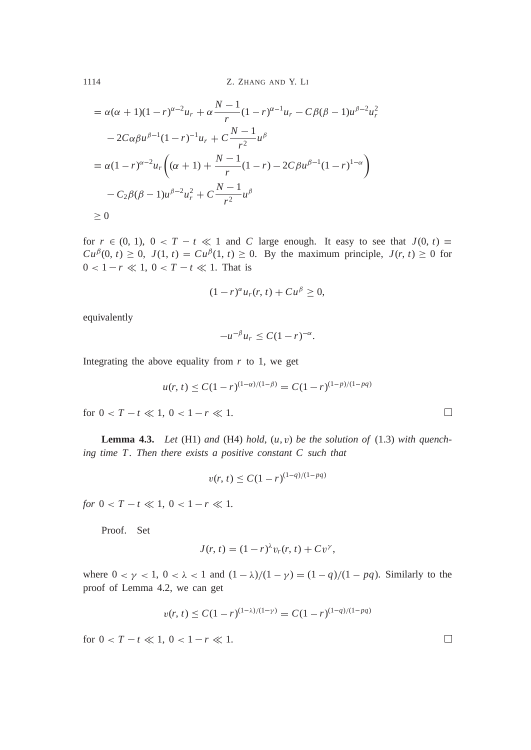1114 Z. ZHANG AND Y. LI

$$
= \alpha(\alpha + 1)(1 - r)^{\alpha - 2}u_r + \alpha \frac{N - 1}{r}(1 - r)^{\alpha - 1}u_r - C\beta(\beta - 1)u^{\beta - 2}u_r^2
$$
  

$$
-2C\alpha\beta u^{\beta - 1}(1 - r)^{-1}u_r + C\frac{N - 1}{r^2}u^{\beta}
$$
  

$$
= \alpha(1 - r)^{\alpha - 2}u_r\left((\alpha + 1) + \frac{N - 1}{r}(1 - r) - 2C\beta u^{\beta - 1}(1 - r)^{1 - \alpha}\right)
$$
  

$$
-C_2\beta(\beta - 1)u^{\beta - 2}u_r^2 + C\frac{N - 1}{r^2}u^{\beta}
$$
  

$$
\geq 0
$$

for  $r \in (0, 1)$ ,  $0 < T - t \ll 1$  and *C* large enough. It easy to see that  $J(0, t) =$  $Cu^{p}(0, t) \geq 0$ ,  $J(1, t) = Cu^{p}(1, t) \geq 0$ . By the maximum principle,  $J(r, t) \geq 0$  for  $0 < 1 - r \ll 1, 0 < T - t \ll 1$ . That is

$$
(1 - r)^{\alpha} u_r(r, t) + C u^{\beta} \ge 0,
$$

equivalently

$$
-u^{-\beta}u_r\leq C(1-r)^{-\alpha}.
$$

Integrating the above equality from  $r$  to 1, we get

$$
u(r, t) \le C(1 - r)^{(1 - \alpha)/(1 - \beta)} = C(1 - r)^{(1 - p)/(1 - pq)}
$$

for  $0 < T - t \ll 1, 0 < 1 - r \ll 1$ .

**Lemma 4.3.** *Let* (H1) *and* (H4) *hold*,  $(u, v)$  *be the solution of* (1.3) *with quench*ing time T. Then there exists a positive constant C such that

$$
v(r, t) \le C(1 - r)^{(1 - q)/(1 - pq)}
$$

*for*  $0 < T - t \ll 1$ ,  $0 < 1 - r \ll 1$ .

Proof. Set

$$
J(r, t) = (1 - r)^{\lambda} v_r(r, t) + C v^{\gamma},
$$

where  $0 < \gamma < 1$ ,  $0 < \lambda < 1$  and  $(1 - \lambda)/(1 - \gamma) = (1 - q)/(1 - pq)$ . Similarly to the proof of Lemma 4.2, we can get

$$
v(r, t) \le C(1 - r)^{(1 - \lambda)/(1 - \gamma)} = C(1 - r)^{(1 - q)/(1 - pq)}
$$

for  $0 < T - t \ll 1, 0 < 1 - r \ll 1$ .

 $\Box$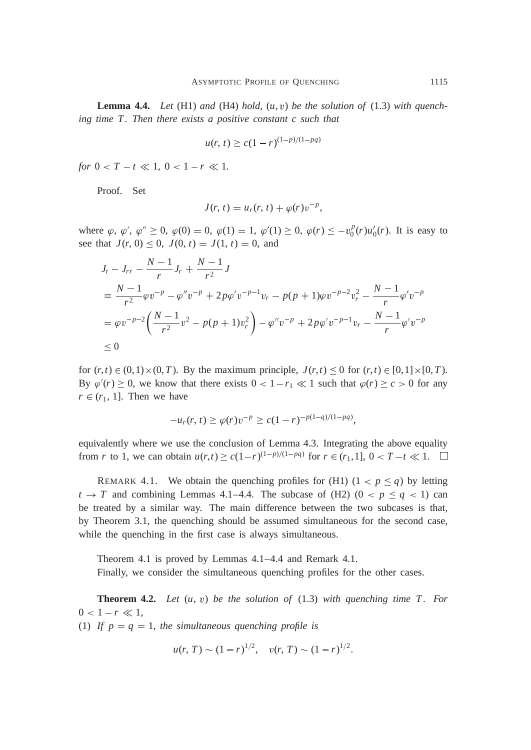**Lemma 4.4.** Let  $(H1)$  and  $(H4)$  hold,  $(u, v)$  be the solution of  $(1.3)$  with quenching time T. Then there exists a positive constant c such that

$$
u(r, t) \ge c(1 - r)^{(1 - p)/(1 - pq)}
$$

*for*  $0 < T - t \ll 1$ ,  $0 < 1 - r \ll 1$ .

Proof. Set

$$
J(r, t) = ur(r, t) + \varphi(r)v^{-p},
$$

where  $\varphi$ ,  $\varphi'$ ,  $\varphi'' \ge 0$ ,  $\varphi(0) = 0$ ,  $\varphi(1) = 1$ ,  $\varphi'(1) \ge 0$ ,  $\varphi(r) \le -v_0^p(r)u_0'(r)$ . It is easy to see that  $J(r, 0) \le 0$ ,  $J(0, t) = J(1, t) = 0$ , and

$$
J_t - J_{rr} - \frac{N-1}{r} J_r + \frac{N-1}{r^2} J
$$
  
=  $\frac{N-1}{r^2} \varphi v^{-p} - \varphi'' v^{-p} + 2p \varphi' v^{-p-1} v_r - p(p+1) \varphi v^{-p-2} v_r^2 - \frac{N-1}{r} \varphi' v^{-p}$   
=  $\varphi v^{-p-2} \left( \frac{N-1}{r^2} v^2 - p(p+1) v_r^2 \right) - \varphi'' v^{-p} + 2p \varphi' v^{-p-1} v_r - \frac{N-1}{r} \varphi' v^{-p}$   
\le 0

for  $(r, t) \in (0, 1) \times (0, T)$ . By the maximum principle,  $J(r, t) \le 0$  for  $(r, t) \in [0, 1] \times [0, T)$ . By  $\varphi'(r) \ge 0$ , we know that there exists  $0 < 1 - r_1 \ll 1$  such that  $\varphi(r) \ge c > 0$  for any  $r \in (r_1, 1]$ . Then we have

$$
-u_r(r, t) \ge \varphi(r)v^{-p} \ge c(1-r)^{-p(1-q)/(1-pq)},
$$

equivalently where we use the conclusion of Lemma 4.3. Integrating the above equality from *r* to 1, we can obtain  $u(r,t) \ge c(1-r)^{(1-p)/(1-pq)}$  for  $r \in (r_1,1], 0 < T-t \ll 1$ .

REMARK 4.1. We obtain the quenching profiles for (H1)  $(1 < p \le q)$  by letting  $t \rightarrow T$  and combining Lemmas 4.1–4.4. The subcase of (H2) (0 <  $p \leq q < 1$ ) can be treated by a similar way. The main difference between the two subcases is that, by Theorem 3.1, the quenching should be assumed simultaneous for the second case, while the quenching in the first case is always simultaneous.

Theorem 4.1 is proved by Lemmas 4.1–4.4 and Remark 4.1. Finally, we consider the simultaneous quenching profiles for the other cases.

**Theorem 4.2.** *Let* (*u*, <sup>v</sup>) *be the solution of* (1.3) *with quenching time T . For*  $0 < 1 - r \ll 1$ , (1) If  $p = q = 1$ , the simultaneous quenching profile is

 $u(r, T) \sim (1 - r)^{1/2}, \quad v(r, T) \sim (1 - r)^{1/2}.$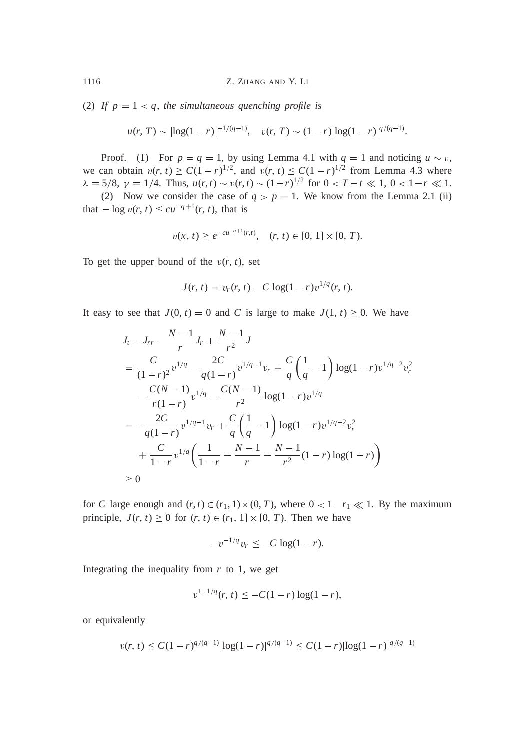(2) If  $p = 1 < q$ , the simultaneous quenching profile is

$$
u(r, T) \sim |\log(1-r)|^{-1/(q-1)}, \quad v(r, T) \sim (1-r)|\log(1-r)|^{q/(q-1)}.
$$

Proof. (1) For  $p = q = 1$ , by using Lemma 4.1 with  $q = 1$  and noticing  $u \sim v$ , we can obtain  $v(r, t) \ge C(1 - r)^{1/2}$ , and  $v(r, t) \le C(1 - r)^{1/2}$  from Lemma 4.3 where  $\lambda = 5/8$ ,  $\gamma = 1/4$ . Thus,  $u(r, t) \sim v(r, t) \sim (1-r)^{1/2}$  for  $0 < T-t \ll 1$ ,  $0 < 1-r \ll 1$ .

(2) Now we consider the case of  $q > p = 1$ . We know from the Lemma 2.1 (ii) that  $-\log v(r, t) \le cu^{-q+1}(r, t)$ , that is

$$
v(x, t) \ge e^{-cu^{-q+1}(r,t)}, \quad (r, t) \in [0, 1] \times [0, T).
$$

To get the upper bound of the  $v(r, t)$ , set

$$
J(r, t) = v_r(r, t) - C \log(1 - r) v^{1/q}(r, t).
$$

It easy to see that  $J(0, t) = 0$  and *C* is large to make  $J(1, t) \ge 0$ . We have

$$
J_t - J_{rr} - \frac{N-1}{r} J_r + \frac{N-1}{r^2} J
$$
  
= 
$$
\frac{C}{(1-r)^2} v^{1/q} - \frac{2C}{q(1-r)} v^{1/q-1} v_r + \frac{C}{q} \left(\frac{1}{q} - 1\right) \log(1-r) v^{1/q-2} v_r^2
$$
  

$$
- \frac{C(N-1)}{r(1-r)} v^{1/q} - \frac{C(N-1)}{r^2} \log(1-r) v^{1/q}
$$
  
= 
$$
- \frac{2C}{q(1-r)} v^{1/q-1} v_r + \frac{C}{q} \left(\frac{1}{q} - 1\right) \log(1-r) v^{1/q-2} v_r^2
$$
  
+ 
$$
\frac{C}{1-r} v^{1/q} \left(\frac{1}{1-r} - \frac{N-1}{r} - \frac{N-1}{r^2} (1-r) \log(1-r)\right)
$$
  
\ge 0

for *C* large enough and  $(r, t) \in (r_1, 1) \times (0, T)$ , where  $0 < 1 - r_1 \ll 1$ . By the maximum principle,  $J(r, t) \ge 0$  for  $(r, t) \in (r_1, 1] \times [0, T)$ . Then we have

$$
-v^{-1/q}v_r \le -C\log(1-r).
$$

Integrating the inequality from  $r$  to 1, we get

$$
v^{1-1/q}(r, t) \le -C(1-r)\log(1-r),
$$

or equivalently

$$
v(r, t) \le C(1-r)^{q/(q-1)}|\log(1-r)|^{q/(q-1)} \le C(1-r)|\log(1-r)|^{q/(q-1)}
$$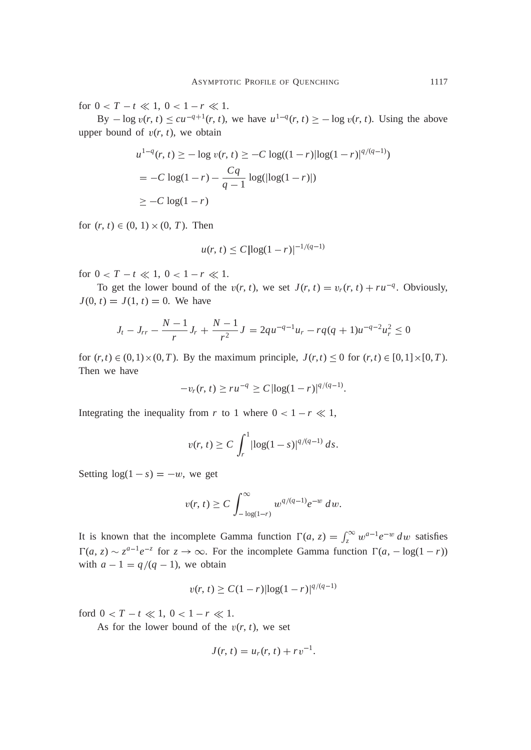for  $0 < T - t \ll 1, 0 < 1 - r \ll 1$ .

By  $-\log v(r, t) \le cu^{-q+1}(r, t)$ , we have  $u^{1-q}(r, t) \ge -\log v(r, t)$ . Using the above upper bound of  $v(r, t)$ , we obtain

$$
u^{1-q}(r, t) \ge -\log v(r, t) \ge -C \log((1 - r) |\log(1 - r)|^{q/(q-1)})
$$
  
= -C \log(1 - r) - \frac{Cq}{q-1} \log(|\log(1 - r)|)  

$$
\ge -C \log(1 - r)
$$

for  $(r, t) \in (0, 1) \times (0, T)$ . Then

$$
u(r, t) \le C |\log(1 - r)|^{-1/(q-1)}
$$

for  $0 < T - t \ll 1, 0 < 1 - r \ll 1$ .

To get the lower bound of the  $v(r, t)$ , we set  $J(r, t) = v_r(r, t) + ru^{-q}$ . Obviously,  $J(0, t) = J(1, t) = 0$ . We have

$$
J_t - J_{rr} - \frac{N-1}{r}J_r + \frac{N-1}{r^2}J = 2qu^{-q-1}u_r - rq(q+1)u^{-q-2}u_r^2 \le 0
$$

for  $(r, t) \in (0, 1) \times (0, T)$ . By the maximum principle,  $J(r, t) \le 0$  for  $(r, t) \in [0, 1] \times [0, T)$ . Then we have

$$
-v_r(r, t) \geq ru^{-q} \geq C |\log(1-r)|^{q/(q-1)}.
$$

Integrating the inequality from *r* to 1 where  $0 < 1 - r \ll 1$ ,

$$
v(r, t) \ge C \int_r^1 |\log(1 - s)|^{q/(q-1)} ds.
$$

Setting  $log(1 - s) = -w$ , we get

$$
v(r, t) \ge C \int_{-\log(1-r)}^{\infty} w^{q/(q-1)} e^{-w} dw.
$$

It is known that the incomplete Gamma function  $\Gamma(a, z) = \int_z^{\infty} w^{a-1} e^{-w} dw$  satisfies  $\Gamma(a, z) \sim z^{a-1}e^{-z}$  for  $z \to \infty$ . For the incomplete Gamma function  $\Gamma(a, -\log(1 - r))$ with  $a - 1 = q/(q - 1)$ , we obtain

$$
v(r, t) \ge C(1 - r) |\log(1 - r)|^{q/(q-1)}
$$

ford  $0 < T - t \ll 1, 0 < I - r \ll 1$ .

As for the lower bound of the  $v(r, t)$ , we set

$$
J(r, t) = ur(r, t) + rv^{-1}.
$$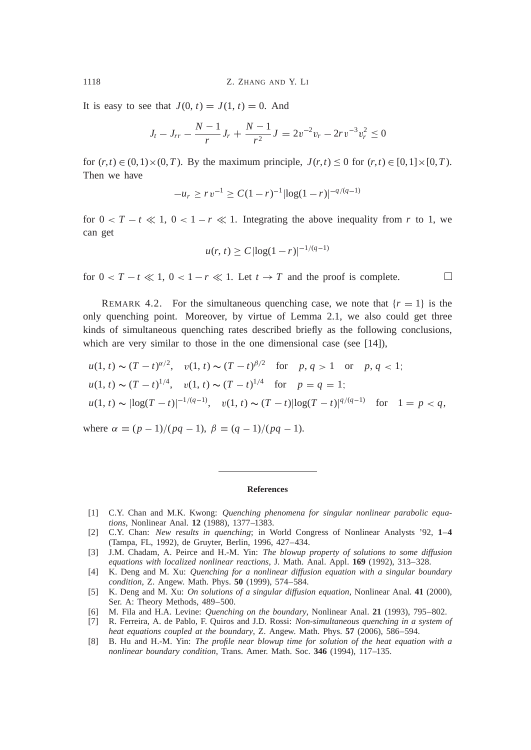It is easy to see that  $J(0, t) = J(1, t) = 0$ . And

$$
J_t - J_{rr} - \frac{N-1}{r}J_r + \frac{N-1}{r^2}J = 2v^{-2}v_r - 2rv^{-3}v_r^2 \le 0
$$

for  $(r, t) \in (0, 1) \times (0, T)$ . By the maximum principle,  $J(r, t) \le 0$  for  $(r, t) \in [0, 1] \times [0, T)$ . Then we have

$$
-u_r \geq r v^{-1} \geq C(1-r)^{-1} |\log(1-r)|^{-q/(q-1)}
$$

for  $0 < T - t \ll 1$ ,  $0 < 1 - r \ll 1$ . Integrating the above inequality from r to 1, we can get

$$
u(r, t) \ge C |\log(1 - r)|^{-1/(q-1)}
$$

for  $0 < T - t \ll 1$ ,  $0 < 1 - r \ll 1$ . Let  $t \to T$  and the proof is complete.

REMARK 4.2. For the simultaneous quenching case, we note that  ${r = 1}$  is the only quenching point. Moreover, by virtue of Lemma 2.1, we also could get three kinds of simultaneous quenching rates described briefly as the following conclusions, which are very similar to those in the one dimensional case (see [14]),

$$
u(1, t) \sim (T - t)^{\alpha/2}, \quad v(1, t) \sim (T - t)^{\beta/2} \quad \text{for} \quad p, q > 1 \quad \text{or} \quad p, q < 1;
$$
\n
$$
u(1, t) \sim (T - t)^{1/4}, \quad v(1, t) \sim (T - t)^{1/4} \quad \text{for} \quad p = q = 1;
$$
\n
$$
u(1, t) \sim |\log(T - t)|^{-1/(q - 1)}, \quad v(1, t) \sim (T - t)|\log(T - t)|^{q/(q - 1)} \quad \text{for} \quad 1 = p < q,
$$

where  $\alpha = (p-1)/(pq-1), \beta = (q-1)/(pq-1).$ 

#### **References**

- [1] C.Y. Chan and M.K. Kwong: *Quenching phenomena for singular nonlinear parabolic equations*, Nonlinear Anal. **12** (1988), 1377–1383.
- [2] C.Y. Chan: *New results in quenching*; in World Congress of Nonlinear Analysts '92, **1**–**4** (Tampa, FL, 1992), de Gruyter, Berlin, 1996, 427–434.
- [3] J.M. Chadam, A. Peirce and H.-M. Yin: *The blowup property of solutions to some diffusion equations with localized nonlinear reactions*, J. Math. Anal. Appl. **169** (1992), 313–328.
- [4] K. Deng and M. Xu: *Quenching for a nonlinear diffusion equation with a singular boundary condition*, Z. Angew. Math. Phys. **50** (1999), 574–584.
- [5] K. Deng and M. Xu: *On solutions of a singular diffusion equation*, Nonlinear Anal. **41** (2000), Ser. A: Theory Methods, 489–500.
- [6] M. Fila and H.A. Levine: *Quenching on the boundary*, Nonlinear Anal. **21** (1993), 795–802.
- [7] R. Ferreira, A. de Pablo, F. Quiros and J.D. Rossi: *Non-simultaneous quenching in a system of heat equations coupled at the boundary*, Z. Angew. Math. Phys. **57** (2006), 586–594.
- [8] B. Hu and H.-M. Yin: *The profile near blowup time for solution of the heat equation with a nonlinear boundary condition*, Trans. Amer. Math. Soc. **346** (1994), 117–135.